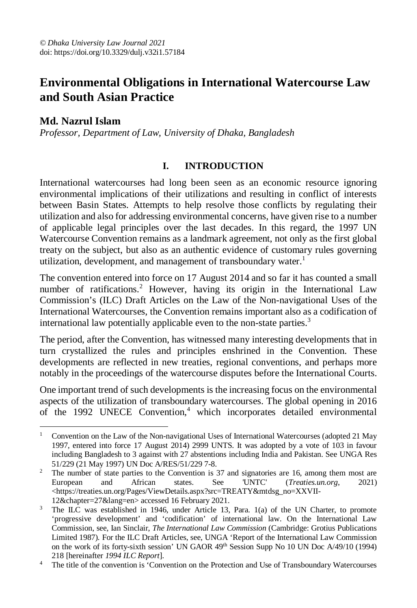# **Environmental Obligations in International Watercourse Law and South Asian Practice**

# **Md. Nazrul Islam**

*Professor, Department of Law, University of Dhaka, Bangladesh*

## **I. INTRODUCTION**

International watercourses had long been seen as an economic resource ignoring environmental implications of their utilizations and resulting in conflict of interests between Basin States. Attempts to help resolve those conflicts by regulating their utilization and also for addressing environmental concerns, have given rise to a number of applicable legal principles over the last decades. In this regard, the 1997 UN Watercourse Convention remains as a landmark agreement, not only as the first global treaty on the subject, but also as an authentic evidence of customary rules governing utilization, development, and management of transboundary water.<sup>1</sup>

The convention entered into force on 17 August 2014 and so far it has counted a small number of ratifications.<sup>2</sup> However, having its origin in the International Law Commission's (ILC) Draft Articles on the Law of the Non-navigational Uses of the International Watercourses, the Convention remains important also as a codification of international law potentially applicable even to the non-state parties.<sup>3</sup>

The period, after the Convention, has witnessed many interesting developments that in turn crystallized the rules and principles enshrined in the Convention. These developments are reflected in new treaties, regional conventions, and perhaps more notably in the proceedings of the watercourse disputes before the International Courts.

One important trend of such developments is the increasing focus on the environmental aspects of the utilization of transboundary watercourses. The global opening in 2016 of the 1992 UNECE Convention,<sup>4</sup> which incorporates detailed environmental

 $\overline{a}$ <sup>1</sup> Convention on the Law of the Non-navigational Uses of International Watercourses (adopted 21 May 1997, entered into force 17 August 2014) 2999 UNTS. It was adopted by a vote of 103 in favour including Bangladesh to 3 against with 27 abstentions including India and Pakistan. See UNGA Res 51/229 (21 May 1997) UN Doc A/RES/51/229 7-8.

<sup>&</sup>lt;sup>2</sup> The number of state parties to the Convention is 37 and signatories are 16, among them most are European and African states. See 'UNTC' (*Treaties.un.org*, 2021) <https://treaties.un.org/Pages/ViewDetails.aspx?src=TREATY&mtdsg\_no=XXVII-12&chapter=27&lang=en> accessed 16 February 2021.

<sup>&</sup>lt;sup>3</sup> The ILC was established in 1946, under Article 13, Para. 1(a) of the UN Charter, to promote 'progressive development' and 'codification' of international law. On the International Law Commission, see, Ian Sinclair, *The International Law Commission* (Cambridge: Grotius Publications Limited 1987)*.* For the ILC Draft Articles, see, UNGA 'Report of the International Law Commission on the work of its forty-sixth session' UN GAOR 49<sup>th</sup> Session Supp No 10 UN Doc A/49/10 (1994) 218 [hereinafter *1994 ILC Report*].

The title of the convention is 'Convention on the Protection and Use of Transboundary Watercourses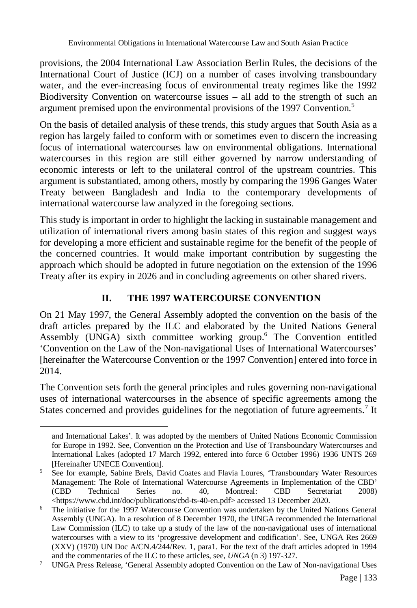provisions, the 2004 International Law Association Berlin Rules, the decisions of the International Court of Justice (ICJ) on a number of cases involving transboundary water, and the ever-increasing focus of environmental treaty regimes like the 1992 Biodiversity Convention on watercourse issues – all add to the strength of such an argument premised upon the environmental provisions of the 1997 Convention.<sup>5</sup>

On the basis of detailed analysis of these trends, this study argues that South Asia as a region has largely failed to conform with or sometimes even to discern the increasing focus of international watercourses law on environmental obligations. International watercourses in this region are still either governed by narrow understanding of economic interests or left to the unilateral control of the upstream countries. This argument is substantiated, among others, mostly by comparing the 1996 Ganges Water Treaty between Bangladesh and India to the contemporary developments of international watercourse law analyzed in the foregoing sections.

This study is important in order to highlight the lacking in sustainable management and utilization of international rivers among basin states of this region and suggest ways for developing a more efficient and sustainable regime for the benefit of the people of the concerned countries. It would make important contribution by suggesting the approach which should be adopted in future negotiation on the extension of the 1996 Treaty after its expiry in 2026 and in concluding agreements on other shared rivers.

# **II. THE 1997 WATERCOURSE CONVENTION**

On 21 May 1997, the General Assembly adopted the convention on the basis of the draft articles prepared by the ILC and elaborated by the United Nations General Assembly (UNGA) sixth committee working group.<sup>6</sup> The Convention entitled 'Convention on the Law of the Non-navigational Uses of International Watercourses' [hereinafter the Watercourse Convention or the 1997 Convention] entered into force in 2014.

The Convention sets forth the general principles and rules governing non-navigational uses of international watercourses in the absence of specific agreements among the States concerned and provides guidelines for the negotiation of future agreements.<sup>7</sup> It

and International Lakes'. It was adopted by the members of United Nations Economic Commission for Europe in 1992. See, Convention on the Protection and Use of Transboundary Watercourses and International Lakes (adopted 17 March 1992, entered into force 6 October 1996) 1936 UNTS 269 [Hereinafter UNECE Convention].

<sup>5</sup> See for example, Sabine Brels, David Coates and Flavia Loures, 'Transboundary Water Resources Management: The Role of International Watercourse Agreements in Implementation of the CBD<br>
(CBD Technical Series no. 40. Montreal: CBD Secretariat 2008) (CBD Technical Series no. 40, Montreal: CBD Secretariat 2008) <https://www.cbd.int/doc/publications/cbd-ts-40-en.pdf> accessed 13 December 2020.

<sup>&</sup>lt;sup>6</sup> The initiative for the 1997 Watercourse Convention was undertaken by the United Nations General Assembly (UNGA). In a resolution of 8 December 1970, the UNGA recommended the International Law Commission (ILC) to take up a study of the law of the non-navigational uses of international watercourses with a view to its 'progressive development and codification'. See, UNGA Res 2669 (XXV) (1970) UN Doc A/CN.4/244/Rev. 1, para1. For the text of the draft articles adopted in 1994 and the commentaries of the ILC to these articles, see, *UNGA* (n 3) 197-327.

<sup>7</sup> UNGA Press Release, 'General Assembly adopted Convention on the Law of Non-navigational Uses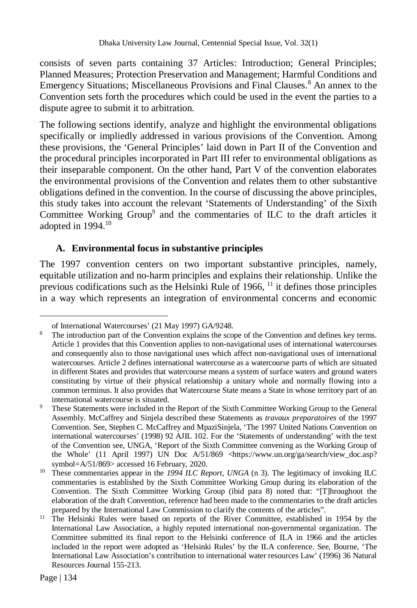consists of seven parts containing 37 Articles: Introduction; General Principles; Planned Measures; Protection Preservation and Management; Harmful Conditions and Emergency Situations; Miscellaneous Provisions and Final Clauses.<sup>8</sup> An annex to the Convention sets forth the procedures which could be used in the event the parties to a dispute agree to submit it to arbitration.

The following sections identify, analyze and highlight the environmental obligations specifically or impliedly addressed in various provisions of the Convention. Among these provisions, the 'General Principles' laid down in Part II of the Convention and the procedural principles incorporated in Part III refer to environmental obligations as their inseparable component. On the other hand, Part V of the convention elaborates the environmental provisions of the Convention and relates them to other substantive obligations defined in the convention. In the course of discussing the above principles, this study takes into account the relevant 'Statements of Understanding' of the Sixth Committee Working Group<sup>9</sup> and the commentaries of ILC to the draft articles it adopted in  $1994.<sup>10</sup>$ 

## **A. Environmental focus in substantive principles**

The 1997 convention centers on two important substantive principles, namely, equitable utilization and no-harm principles and explains their relationship. Unlike the previous codifications such as the Helsinki Rule of  $1966$ ,  $^{11}$  it defines those principles in a way which represents an integration of environmental concerns and economic

of International Watercourses' (21 May 1997) GA/9248.

<sup>&</sup>lt;sup>8</sup> The introduction part of the Convention explains the scope of the Convention and defines key terms. Article 1 provides that this Convention applies to non-navigational uses of international watercourses and consequently also to those navigational uses which affect non-navigational uses of international watercourses. Article 2 defines international watercourse as a watercourse parts of which are situated in different States and provides that watercourse means a system of surface waters and ground waters constituting by virtue of their physical relationship a unitary whole and normally flowing into a common terminus. It also provides that Watercourse State means a State in whose territory part of an international watercourse is situated.

<sup>9</sup> These Statements were included in the Report of the Sixth Committee Working Group to the General Assembly. McCaffrey and Sinjela described these Statements as *travaux preparatoires* of the 1997 Convention. See, Stephen C. McCaffrey and MpaziSinjela, 'The 1997 United Nations Convention on international watercourses' (1998) 92 AJIL 102. For the 'Statements of understanding' with the text of the Convention see, UNGA, 'Report of the Sixth Committee convening as the Working Group of the Whole' (11 April 1997) UN Doc  $A/51/869$  <https://www.un.org/ga/search/view\_doc.asp? symbol=A/51/869> accessed 16 February, 2020.

<sup>&</sup>lt;sup>10</sup> These commentaries appear in the *1994 ILC Report*, *UNGA* (n 3). The legitimacy of invoking ILC commentaries is established by the Sixth Committee Working Group during its elaboration of the Convention. The Sixth Committee Working Group (ibid para 8) noted that: "[T]hroughout the elaboration of the draft Convention, reference had been made to the commentaries to the draft articles prepared by the International Law Commission to clarify the contents of the articles".

<sup>&</sup>lt;sup>11</sup> The Helsinki Rules were based on reports of the River Committee, established in 1954 by the International Law Association, a highly reputed international non-governmental organization. The Committee submitted its final report to the Helsinki conference of ILA in 1966 and the articles included in the report were adopted as 'Helsinki Rules' by the ILA conference. See, Bourne, 'The International Law Association's contribution to international water resources Law' (1996) 36 Natural Resources Journal 155-213.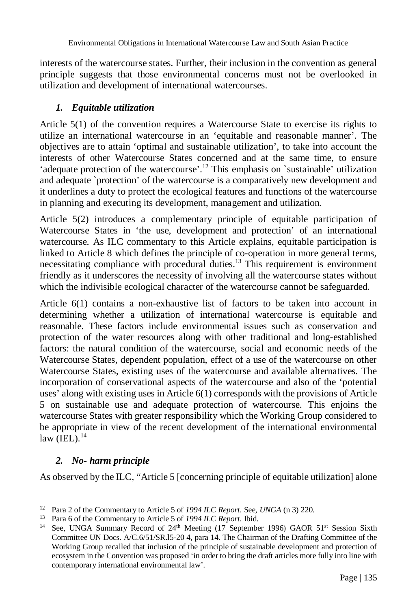interests of the watercourse states. Further, their inclusion in the convention as general principle suggests that those environmental concerns must not be overlooked in utilization and development of international watercourses.

## *1. Equitable utilization*

Article 5(1) of the convention requires a Watercourse State to exercise its rights to utilize an international watercourse in an 'equitable and reasonable manner'. The objectives are to attain 'optimal and sustainable utilization', to take into account the interests of other Watercourse States concerned and at the same time, to ensure 'adequate protection of the watercourse'.<sup>12</sup> This emphasis on `sustainable' utilization and adequate `protection' of the watercourse is a comparatively new development and it underlines a duty to protect the ecological features and functions of the watercourse in planning and executing its development, management and utilization.

Article 5(2) introduces a complementary principle of equitable participation of Watercourse States in 'the use, development and protection' of an international watercourse. As ILC commentary to this Article explains, equitable participation is linked to Article 8 which defines the principle of co-operation in more general terms, necessitating compliance with procedural duties.<sup>13</sup> This requirement is environment friendly as it underscores the necessity of involving all the watercourse states without which the indivisible ecological character of the watercourse cannot be safeguarded.

Article 6(1) contains a non-exhaustive list of factors to be taken into account in determining whether a utilization of international watercourse is equitable and reasonable. These factors include environmental issues such as conservation and protection of the water resources along with other traditional and long-established factors: the natural condition of the watercourse, social and economic needs of the Watercourse States, dependent population, effect of a use of the watercourse on other Watercourse States, existing uses of the watercourse and available alternatives. The incorporation of conservational aspects of the watercourse and also of the 'potential uses' along with existing uses in Article 6(1) corresponds with the provisions of Article 5 on sustainable use and adequate protection of watercourse. This enjoins the watercourse States with greater responsibility which the Working Group considered to be appropriate in view of the recent development of the international environmental  $law$  (IEL).<sup>14</sup>

#### *2. No- harm principle*

As observed by the ILC, "Article 5 [concerning principle of equitable utilization] alone

 $\overline{a}$ <sup>12</sup> Para 2 of the Commentary to Article 5 of *1994 ILC Report*. See, *UNGA* (n 3) 220.

<sup>13</sup> Para 6 of the Commentary to Article 5 of *1994 ILC Report*. Ibid.

<sup>&</sup>lt;sup>14</sup> See, UNGA Summary Record of  $24<sup>th</sup>$  Meeting (17 September 1996) GAOR  $51<sup>st</sup>$  Session Sixth Committee UN Docs. A/C.6/51/SR.l5-20 4, para 14. The Chairman of the Drafting Committee of the Working Group recalled that inclusion of the principle of sustainable development and protection of ecosystem in the Convention was proposed 'in order to bring the draft articles more fully into line with contemporary international environmental law'.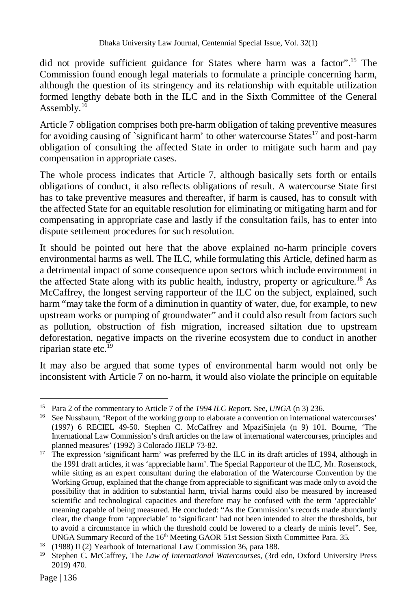did not provide sufficient guidance for States where harm was a factor".<sup>15</sup> The Commission found enough legal materials to formulate a principle concerning harm, although the question of its stringency and its relationship with equitable utilization formed lengthy debate both in the ILC and in the Sixth Committee of the General Assembly.<sup>16</sup>

Article 7 obligation comprises both pre-harm obligation of taking preventive measures for avoiding causing of `significant harm' to other watercourse States<sup>17</sup> and post-harm obligation of consulting the affected State in order to mitigate such harm and pay compensation in appropriate cases.

The whole process indicates that Article 7, although basically sets forth or entails obligations of conduct, it also reflects obligations of result. A watercourse State first has to take preventive measures and thereafter, if harm is caused, has to consult with the affected State for an equitable resolution for eliminating or mitigating harm and for compensating in appropriate case and lastly if the consultation fails, has to enter into dispute settlement procedures for such resolution.

It should be pointed out here that the above explained no-harm principle covers environmental harms as well. The ILC, while formulating this Article, defined harm as a detrimental impact of some consequence upon sectors which include environment in the affected State along with its public health, industry, property or agriculture.<sup>18</sup> As McCaffrey*,* the longest serving rapporteur of the ILC on the subject, explained, such harm "may take the form of a diminution in quantity of water, due, for example, to new upstream works or pumping of groundwater" and it could also result from factors such as pollution, obstruction of fish migration, increased siltation due to upstream deforestation, negative impacts on the riverine ecosystem due to conduct in another riparian state etc. $^{19}$ 

It may also be argued that some types of environmental harm would not only be inconsistent with Article 7 on no-harm, it would also violate the principle on equitable

 $\overline{a}$ <sup>15</sup> Para 2 of the commentary to Article 7 of the *1994 ILC Report.* See, *UNGA* (n 3) 236.

<sup>&</sup>lt;sup>16</sup> See Nussbaum, 'Report of the working group to elaborate a convention on international watercourses' (1997) 6 RECIEL 49-50. Stephen C. McCaffrey and MpaziSinjela (n 9) 101. Bourne, 'The International Law Commission's draft articles on the law of international watercourses, principles and planned measures' (1992) 3 Colorado JIELP 73-82.

<sup>&</sup>lt;sup>17</sup> The expression 'significant harm' was preferred by the ILC in its draft articles of 1994, although in the 1991 draft articles, it was 'appreciable harm'. The Special Rapporteur of the ILC, Mr. Rosenstock, while sitting as an expert consultant during the elaboration of the Watercourse Convention by the Working Group, explained that the change from appreciable to significant was made only to avoid the possibility that in addition to substantial harm, trivial harms could also be measured by increased scientific and technological capacities and therefore may be confused with the term 'appreciable' meaning capable of being measured. He concluded: "As the Commission's records made abundantly clear, the change from 'appreciable' to 'significant' had not been intended to alter the thresholds, but to avoid a circumstance in which the threshold could be lowered to a clearly de minis level". See, UNGA Summary Record of the 16th Meeting GAOR 51st Session Sixth Committee Para. 35.

<sup>18</sup> (1988) II (2) Yearbook of International Law Commission 36, para 188.

<sup>19</sup> Stephen C. McCaffrey, The *Law of International Watercourses*, (3rd edn, Oxford University Press 2019) 470*.*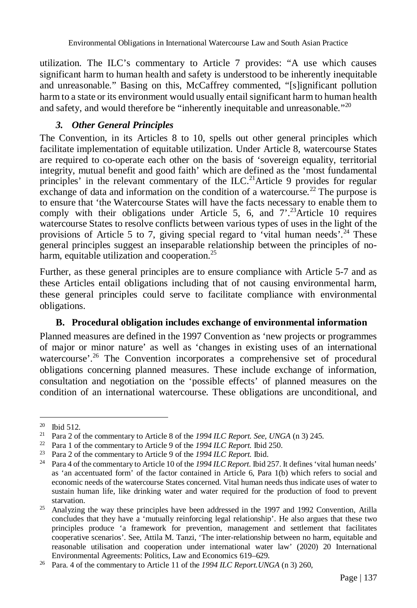utilization. The ILC's commentary to Article 7 provides: "A use which causes significant harm to human health and safety is understood to be inherently inequitable and unreasonable." Basing on this, McCaffrey commented, "[s]ignificant pollution harm to a state or its environment would usually entail significant harm to human health and safety, and would therefore be "inherently inequitable and unreasonable."<sup>20</sup>

## *3. Other General Principles*

The Convention, in its Articles 8 to 10, spells out other general principles which facilitate implementation of equitable utilization. Under Article 8, watercourse States are required to co-operate each other on the basis of 'sovereign equality, territorial integrity, mutual benefit and good faith' which are defined as the 'most fundamental principles' in the relevant commentary of the ILC.<sup>21</sup>Article 9 provides for regular exchange of data and information on the condition of a watercourse.<sup>22</sup> The purpose is to ensure that 'the Watercourse States will have the facts necessary to enable them to comply with their obligations under Article 5, 6, and  $7^{2.23}$ Article 10 requires watercourse States to resolve conflicts between various types of uses in the light of the provisions of Article 5 to 7, giving special regard to 'vital human needs'.<sup>24</sup> These general principles suggest an inseparable relationship between the principles of noharm, equitable utilization and cooperation.<sup>25</sup>

Further, as these general principles are to ensure compliance with Article 5-7 and as these Articles entail obligations including that of not causing environmental harm, these general principles could serve to facilitate compliance with environmental obligations.

#### **B. Procedural obligation includes exchange of environmental information**

Planned measures are defined in the 1997 Convention as 'new projects or programmes of major or minor nature' as well as 'changes in existing uses of an international watercourse'.<sup>26</sup> The Convention incorporates a comprehensive set of procedural obligations concerning planned measures. These include exchange of information, consultation and negotiation on the 'possible effects' of planned measures on the condition of an international watercourse. These obligations are unconditional, and

<sup>20</sup> **Ibid 512.** 

<sup>21</sup> Para 2 of the commentary to Article 8 of the *1994 ILC Report. See, UNGA* (n 3) 245.

<sup>22</sup> Para 1 of the commentary to Article 9 of the *1994 ILC Report.* Ibid 250.

<sup>23</sup> Para 2 of the commentary to Article 9 of the *1994 ILC Report.* Ibid.

<sup>24</sup> Para 4 of the commentary to Article 10 of the *1994 ILC Report.* Ibid 257. It defines 'vital human needs' as 'an accentuated form' of the factor contained in Article 6, Para 1(b) which refers to social and economic needs of the watercourse States concerned. Vital human needs thus indicate uses of water to sustain human life, like drinking water and water required for the production of food to prevent starvation.

 $25$  Analyzing the way these principles have been addressed in the 1997 and 1992 Convention, Atilla concludes that they have a 'mutually reinforcing legal relationship'. He also argues that these two principles produce 'a framework for prevention, management and settlement that facilitates cooperative scenarios'. See, Attila M. Tanzi, 'The inter-relationship between no harm, equitable and reasonable utilisation and cooperation under international water law' (2020) 20 International Environmental Agreements: Politics, Law and Economics 619–629.

<sup>26</sup> Para. 4 of the commentary to Article 11 of the *1994 ILC Report.UNGA* (n 3) 260,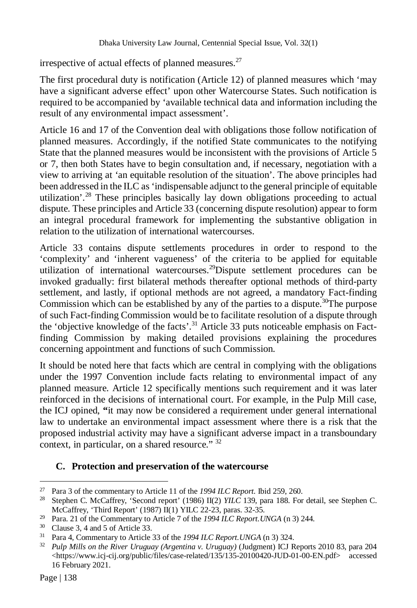irrespective of actual effects of planned measures.<sup>27</sup>

The first procedural duty is notification (Article 12) of planned measures which 'may have a significant adverse effect' upon other Watercourse States. Such notification is required to be accompanied by 'available technical data and information including the result of any environmental impact assessment'.

Article 16 and 17 of the Convention deal with obligations those follow notification of planned measures. Accordingly, if the notified State communicates to the notifying State that the planned measures would be inconsistent with the provisions of Article 5 or 7, then both States have to begin consultation and, if necessary, negotiation with a view to arriving at 'an equitable resolution of the situation'. The above principles had been addressed in the ILC as 'indispensable adjunct to the general principle of equitable utilization'.<sup>28</sup> These principles basically lay down obligations proceeding to actual dispute. These principles and Article 33 (concerning dispute resolution) appear to form an integral procedural framework for implementing the substantive obligation in relation to the utilization of international watercourses.

Article 33 contains dispute settlements procedures in order to respond to the 'complexity' and 'inherent vagueness' of the criteria to be applied for equitable utilization of international watercourses.<sup>29</sup>Dispute settlement procedures can be invoked gradually: first bilateral methods thereafter optional methods of third-party settlement, and lastly, if optional methods are not agreed, a mandatory Fact-finding Commission which can be established by any of the parties to a dispute.<sup>30</sup>The purpose of such Fact-finding Commission would be to facilitate resolution of a dispute through the 'objective knowledge of the facts'.<sup>31</sup> Article 33 puts noticeable emphasis on Factfinding Commission by making detailed provisions explaining the procedures concerning appointment and functions of such Commission.

It should be noted here that facts which are central in complying with the obligations under the 1997 Convention include facts relating to environmental impact of any planned measure. Article 12 specifically mentions such requirement and it was later reinforced in the decisions of international court. For example, in the Pulp Mill case, the ICJ opined, **"**it may now be considered a requirement under general international law to undertake an environmental impact assessment where there is a risk that the proposed industrial activity may have a significant adverse impact in a transboundary context, in particular, on a shared resource." <sup>32</sup>

#### **C. Protection and preservation of the watercourse**

 $\overline{a}$ <sup>27</sup> Para 3 of the commentary to Article 11 of the *1994 ILC Report.* Ibid 259, 260.

<sup>28</sup> Stephen C. McCaffrey, 'Second report' (1986) II(2) *YILC* 139, para 188. For detail, see Stephen C. McCaffrey, 'Third Report' (1987) II(1) YILC 22-23, paras. 32-35.

<sup>29</sup> Para. 21 of the Commentary to Article 7 of the *1994 ILC Report.UNGA* (n 3) 244.

<sup>30</sup> Clause 3, 4 and 5 of Article 33.

<sup>31</sup> Para 4, Commentary to Article 33 of the *1994 ILC Report.UNGA* (n 3) 324.

<sup>32</sup> *Pulp Mills on the River Uruguay (Argentina v. Uruguay)* (Judgment) ICJ Reports 2010 83, para 204 <https://www.icj-cij.org/public/files/case-related/135/135-20100420-JUD-01-00-EN.pdf> accessed 16 February 2021.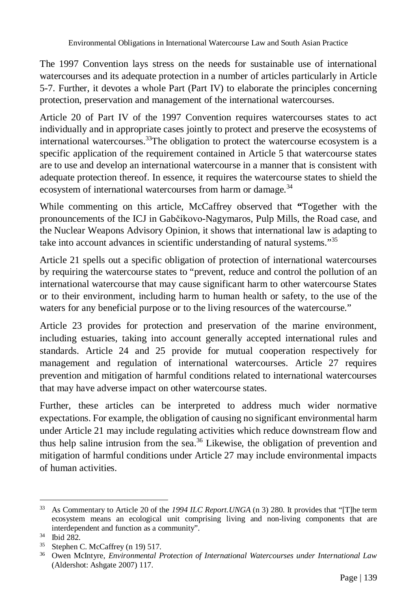The 1997 Convention lays stress on the needs for sustainable use of international watercourses and its adequate protection in a number of articles particularly in Article 5-7. Further, it devotes a whole Part (Part IV) to elaborate the principles concerning protection, preservation and management of the international watercourses.

Article 20 of Part IV of the 1997 Convention requires watercourses states to act individually and in appropriate cases jointly to protect and preserve the ecosystems of international watercourses.<sup>33</sup>The obligation to protect the watercourse ecosystem is a specific application of the requirement contained in Article 5 that watercourse states are to use and develop an international watercourse in a manner that is consistent with adequate protection thereof. In essence, it requires the watercourse states to shield the ecosystem of international watercourses from harm or damage.<sup>34</sup>

While commenting on this article, McCaffrey observed that **"**Together with the pronouncements of the ICJ in Gabčíkovo-Nagymaros, Pulp Mills, the Road case, and the Nuclear Weapons Advisory Opinion, it shows that international law is adapting to take into account advances in scientific understanding of natural systems."<sup>35</sup>

Article 21 spells out a specific obligation of protection of international watercourses by requiring the watercourse states to "prevent, reduce and control the pollution of an international watercourse that may cause significant harm to other watercourse States or to their environment, including harm to human health or safety, to the use of the waters for any beneficial purpose or to the living resources of the watercourse."

Article 23 provides for protection and preservation of the marine environment, including estuaries, taking into account generally accepted international rules and standards. Article 24 and 25 provide for mutual cooperation respectively for management and regulation of international watercourses. Article 27 requires prevention and mitigation of harmful conditions related to international watercourses that may have adverse impact on other watercourse states.

Further, these articles can be interpreted to address much wider normative expectations. For example, the obligation of causing no significant environmental harm under Article 21 may include regulating activities which reduce downstream flow and thus help saline intrusion from the sea. $36$  Likewise, the obligation of prevention and mitigation of harmful conditions under Article 27 may include environmental impacts of human activities.

 $33$ <sup>33</sup> As Commentary to Article 20 of the *1994 ILC Report.UNGA* (n 3) 280. It provides that "[T]he term ecosystem means an ecological unit comprising living and non-living components that are interdependent and function as a community".

<sup>34</sup> Ibid 282.

<sup>35</sup> Stephen C. McCaffrey (n 19) 517.

<sup>36</sup> Owen McIntyre, *Environmental Protection of International Watercourses under International Law* (Aldershot: Ashgate 2007) 117.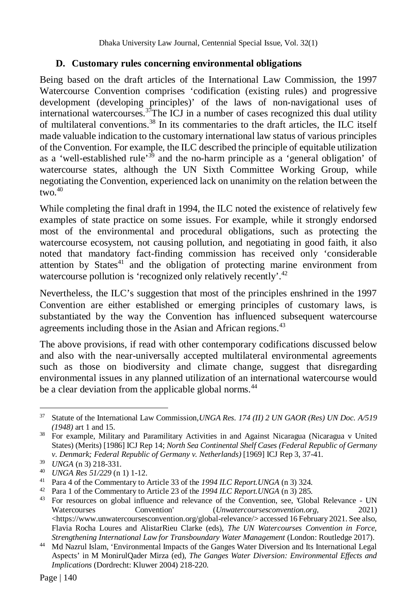#### **D. Customary rules concerning environmental obligations**

Being based on the draft articles of the International Law Commission, the 1997 Watercourse Convention comprises 'codification (existing rules) and progressive development (developing principles)' of the laws of non-navigational uses of international watercourses.<sup>37</sup>The ICJ in a number of cases recognized this dual utility of multilateral conventions.<sup>38</sup> In its commentaries to the draft articles, the ILC itself made valuable indication to the customary international law status of various principles of the Convention. For example, the ILC described the principle of equitable utilization as a 'well-established rule'<sup>39</sup> and the no-harm principle as a 'general obligation' of watercourse states, although the UN Sixth Committee Working Group, while negotiating the Convention, experienced lack on unanimity on the relation between the two. $40$ 

While completing the final draft in 1994, the ILC noted the existence of relatively few examples of state practice on some issues. For example, while it strongly endorsed most of the environmental and procedural obligations, such as protecting the watercourse ecosystem, not causing pollution, and negotiating in good faith, it also noted that mandatory fact-finding commission has received only 'considerable attention by States $41$  and the obligation of protecting marine environment from watercourse pollution is 'recognized only relatively recently'.<sup>42</sup>

Nevertheless, the ILC's suggestion that most of the principles enshrined in the 1997 Convention are either established or emerging principles of customary laws, is substantiated by the way the Convention has influenced subsequent watercourse agreements including those in the Asian and African regions.<sup>43</sup>

The above provisions, if read with other contemporary codifications discussed below and also with the near-universally accepted multilateral environmental agreements such as those on biodiversity and climate change, suggest that disregarding environmental issues in any planned utilization of an international watercourse would be a clear deviation from the applicable global norms.<sup>44</sup>

<sup>37</sup> Statute of the International Law Commission,*UNGA Res. 174 (II) 2 UN GAOR (Res) UN Doc. A/519 (1948)* art 1 and 15.

<sup>&</sup>lt;sup>38</sup> For example, Military and Paramilitary Activities in and Against Nicaragua (Nicaragua v United States) (Merits) [1986] ICJ Rep 14; *North Sea Continental Shelf Cases (Federal Republic of Germany v. Denmark; Federal Republic of Germany v. Netherlands)* [1969] ICJ Rep 3, 37-41.

<sup>39</sup> *UNGA* (n 3) 218-331.

<sup>40</sup> *UNGA Res 51/229* (n 1) 1-12.

<sup>41</sup> Para 4 of the Commentary to Article 33 of the *1994 ILC Report.UNGA* (n 3) 324.

<sup>42</sup> Para 1 of the Commentary to Article 23 of the *1994 ILC Report.UNGA* (n 3) 285.

<sup>43</sup> For resources on global influence and relevance of the Convention, see, 'Global Relevance - UN Watercourses Convention' (*Unwatercoursesconvention.org*, 2021)  $\langle$ https://www.unwatercoursesconvention.org/global-relevance/> accessed 16 February 2021. See also, Flavia Rocha Loures and AlistarRieu Clarke (eds), *The UN Watercourses Convention in Force, Strengthening International Law for Transboundary Water Management* (London: Routledge 2017).

<sup>44</sup> Md Nazrul Islam, 'Environmental Impacts of the Ganges Water Diversion and Its International Legal Aspects' in M MonirulQader Mirza (ed), *The Ganges Water Diversion: Environmental Effects and Implications* (Dordrecht: Kluwer 2004) 218-220.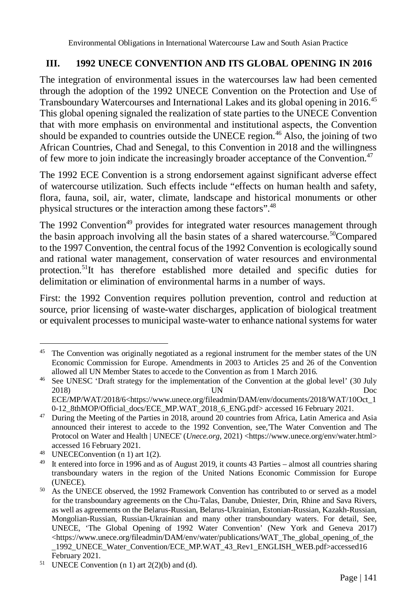Environmental Obligations in International Watercourse Law and South Asian Practice

#### **III. 1992 UNECE CONVENTION AND ITS GLOBAL OPENING IN 2016**

The integration of environmental issues in the watercourses law had been cemented through the adoption of the 1992 UNECE Convention on the Protection and Use of Transboundary Watercourses and International Lakes and its global opening in 2016.<sup>45</sup> This global opening signaled the realization of state parties to the UNECE Convention that with more emphasis on environmental and institutional aspects, the Convention should be expanded to countries outside the UNECE region.<sup>46</sup> Also, the joining of two African Countries, Chad and Senegal, to this Convention in 2018 and the willingness of few more to join indicate the increasingly broader acceptance of the Convention.<sup>47</sup>

The 1992 ECE Convention is a strong endorsement against significant adverse effect of watercourse utilization. Such effects include "effects on human health and safety, flora, fauna, soil, air, water, climate, landscape and historical monuments or other physical structures or the interaction among these factors".<sup>48</sup>

The 1992 Convention<sup>49</sup> provides for integrated water resources management through the basin approach involving all the basin states of a shared watercourse.<sup>50</sup>Compared to the 1997 Convention, the central focus of the 1992 Convention is ecologically sound and rational water management, conservation of water resources and environmental protection.<sup>51</sup>It has therefore established more detailed and specific duties for delimitation or elimination of environmental harms in a number of ways.

First: the 1992 Convention requires pollution prevention, control and reduction at source, prior licensing of waste-water discharges, application of biological treatment or equivalent processes to municipal waste-water to enhance national systems for water

<sup>48</sup> UNECEConvention (n 1) art 1(2).

 $\overline{a}$ <sup>45</sup> The Convention was originally negotiated as a regional instrument for the member states of the UN Economic Commission for Europe. Amendments in 2003 to Articles 25 and 26 of the Convention allowed all UN Member States to accede to the Convention as from 1 March 2016.

<sup>&</sup>lt;sup>46</sup> See UNESC 'Draft strategy for the implementation of the Convention at the global level' (30 July 2018) Doc 2018) UN Doc ECE/MP/WAT/2018/6<https://www.unece.org/fileadmin/DAM/env/documents/2018/WAT/10Oct\_1 0-12\_8thMOP/Official\_docs/ECE\_MP.WAT\_2018\_6\_ENG.pdf> accessed 16 February 2021.

<sup>&</sup>lt;sup>47</sup> During the Meeting of the Parties in 2018, around 20 countries from Africa, Latin America and Asia announced their interest to accede to the 1992 Convention, see,'The Water Convention and The Protocol on Water and Health | UNECE' (*Unece.org*, 2021) <https://www.unece.org/env/water.html> accessed 16 February 2021.

 $49$  It entered into force in 1996 and as of August 2019, it counts 43 Parties – almost all countries sharing transboundary waters in the region of the United Nations Economic Commission for Europe (UNECE).

<sup>50</sup> As the UNECE observed, the 1992 Framework Convention has contributed to or served as a model for the transboundary agreements on the Chu-Talas, Danube, Dniester, Drin, Rhine and Sava Rivers, as well as agreements on the Belarus-Russian, Belarus-Ukrainian, Estonian-Russian, Kazakh-Russian, Mongolian-Russian, Russian-Ukrainian and many other transboundary waters. For detail, See, UNECE, 'The Global Opening of 1992 Water Convention' (New York and Geneva 2017) <https://www.unece.org/fileadmin/DAM/env/water/publications/WAT\_The\_global\_opening\_of\_the \_1992\_UNECE\_Water\_Convention/ECE\_MP.WAT\_43\_Rev1\_ENGLISH\_WEB.pdf>accessed16 February 2021.

<sup>&</sup>lt;sup>51</sup> UNECE Convention (n 1) art  $2(2)(b)$  and (d).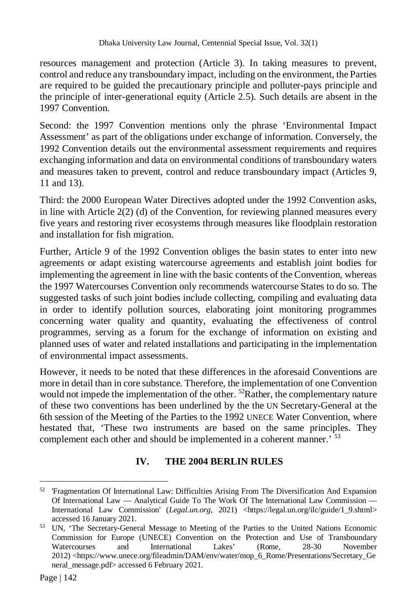resources management and protection (Article 3). In taking measures to prevent, control and reduce any transboundary impact, including on the environment, the Parties are required to be guided the precautionary principle and polluter-pays principle and the principle of inter-generational equity (Article 2.5). Such details are absent in the 1997 Convention.

Second: the 1997 Convention mentions only the phrase 'Environmental Impact Assessment' as part of the obligations under exchange of information. Conversely, the 1992 Convention details out the environmental assessment requirements and requires exchanging information and data on environmental conditions of transboundary waters and measures taken to prevent, control and reduce transboundary impact (Articles 9, 11 and 13).

Third: the 2000 European Water Directives adopted under the 1992 Convention asks, in line with Article 2(2) (d) of the Convention, for reviewing planned measures every five years and restoring river ecosystems through measures like floodplain restoration and installation for fish migration.

Further, Article 9 of the 1992 Convention obliges the basin states to enter into new agreements or adapt existing watercourse agreements and establish joint bodies for implementing the agreement in line with the basic contents of the Convention, whereas the 1997 Watercourses Convention only recommends watercourse States to do so. The suggested tasks of such joint bodies include collecting, compiling and evaluating data in order to identify pollution sources, elaborating joint monitoring programmes concerning water quality and quantity, evaluating the effectiveness of control programmes, serving as a forum for the exchange of information on existing and planned uses of water and related installations and participating in the implementation of environmental impact assessments.

However, it needs to be noted that these differences in the aforesaid Conventions are more in detail than in core substance. Therefore, the implementation of one Convention would not impede the implementation of the other.  ${}^{52}$ Rather, the complementary nature of these two conventions has been underlined by the the UN Secretary-General at the 6th session of the Meeting of the Parties to the 1992 UNECE Water Convention, where hestated that, 'These two instruments are based on the same principles. They complement each other and should be implemented in a coherent manner.<sup>553</sup>

#### **IV. THE 2004 BERLIN RULES**

<sup>52</sup> 'Fragmentation Of International Law: Difficulties Arising From The Diversification And Expansion Of International Law — Analytical Guide To The Work Of The International Law Commission — International Law Commission' (*Legal.un.org*, 2021) <https://legal.un.org/ilc/guide/1\_9.shtml> accessed 16 January 2021.

<sup>53</sup> UN, 'The Secretary-General Message to Meeting of the Parties to the United Nations Economic Commission for Europe (UNECE) Convention on the Protection and Use of Transboundary<br>Watercourses and International Lakes' (Rome, 28-30 November Watercourses and International Lakes' (Rome, 28-30 November 2012) <https://www.unece.org/fileadmin/DAM/env/water/mop\_6\_Rome/Presentations/Secretary\_Ge neral\_message.pdf> accessed 6 February 2021.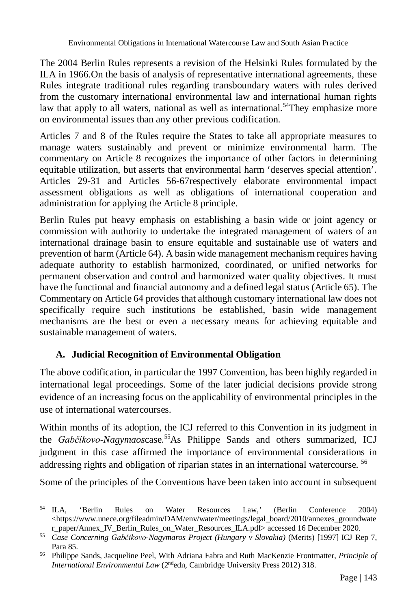The 2004 Berlin Rules represents a revision of the Helsinki Rules formulated by the ILA in 1966.On the basis of analysis of representative international agreements, these Rules integrate traditional rules regarding transboundary waters with rules derived from the customary international environmental law and international human rights law that apply to all waters, national as well as international.<sup>54</sup>They emphasize more on environmental issues than any other previous codification.

Articles 7 and 8 of the Rules require the States to take all appropriate measures to manage waters sustainably and prevent or minimize environmental harm. The commentary on Article 8 recognizes the importance of other factors in determining equitable utilization, but asserts that environmental harm 'deserves special attention'. Articles 29-31 and Articles 56-67respectively elaborate environmental impact assessment obligations as well as obligations of international cooperation and administration for applying the Article 8 principle.

Berlin Rules put heavy emphasis on establishing a basin wide or joint agency or commission with authority to undertake the integrated management of waters of an international drainage basin to ensure equitable and sustainable use of waters and prevention of harm (Article 64). A basin wide management mechanism requires having adequate authority to establish harmonized, coordinated, or unified networks for permanent observation and control and harmonized water quality objectives. It must have the functional and financial autonomy and a defined legal status (Article 65). The Commentary on Article 64 provides that although customary international law does not specifically require such institutions be established, basin wide management mechanisms are the best or even a necessary means for achieving equitable and sustainable management of waters.

#### **A. Judicial Recognition of Environmental Obligation**

The above codification, in particular the 1997 Convention, has been highly regarded in international legal proceedings. Some of the later judicial decisions provide strong evidence of an increasing focus on the applicability of environmental principles in the use of international watercourses.

Within months of its adoption, the ICJ referred to this Convention in its judgment in the *Gabčíkovo-Nagymaoscase*.<sup>55</sup>As Philippe Sands and others summarized, ICJ judgment in this case affirmed the importance of environmental considerations in addressing rights and obligation of riparian states in an international watercourse. <sup>56</sup>

Some of the principles of the Conventions have been taken into account in subsequent

 $54$  ILA, <sup>54</sup> ILA, 'Berlin Rules on Water Resources Law,' (Berlin Conference 2004) <https://www.unece.org/fileadmin/DAM/env/water/meetings/legal\_board/2010/annexes\_groundwate r\_paper/Annex\_IV\_Berlin\_Rules\_on\_Water\_Resources\_ILA.pdf> accessed 16 December 2020.

<sup>55</sup> *Case Concerning Gabčikovo-Nagymaros Project (Hungary v Slovakia)* (Merits) [1997] ICJ Rep 7, Para 85.

<sup>56</sup> Philippe Sands, Jacqueline Peel, With Adriana Fabra and Ruth MacKenzie Frontmatter, *Principle of International Environmental Law* (2ndedn, Cambridge University Press 2012) 318.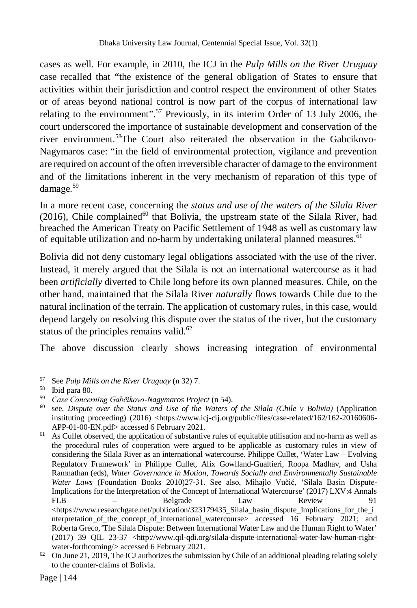cases as well. For example, in 2010, the ICJ in the *Pulp Mills on the River Uruguay*  case recalled that "the existence of the general obligation of States to ensure that activities within their jurisdiction and control respect the environment of other States or of areas beyond national control is now part of the corpus of international law relating to the environment".<sup>57</sup> Previously, in its interim Order of 13 July 2006, the court underscored the importance of sustainable development and conservation of the river environment.<sup>58</sup>The Court also reiterated the observation in the Gabcikovo-Nagymaros case: "in the field of environmental protection, vigilance and prevention are required on account of the often irreversible character of damage to the environment and of the limitations inherent in the very mechanism of reparation of this type of damage.<sup>59</sup>

In a more recent case, concerning the *status and use of the waters of the Silala River*  (2016), Chile complained<sup>60</sup> that Bolivia, the upstream state of the Silala River, had breached the American Treaty on Pacific Settlement of 1948 as well as customary law of equitable utilization and no-harm by undertaking unilateral planned measures.<sup>61</sup>

Bolivia did not deny customary legal obligations associated with the use of the river. Instead, it merely argued that the Silala is not an international watercourse as it had been *artificially* diverted to Chile long before its own planned measures. Chile, on the other hand, maintained that the Silala River *naturally* flows towards Chile due to the natural inclination of the terrain. The application of customary rules, in this case, would depend largely on resolving this dispute over the status of the river, but the customary status of the principles remains valid. $62$ 

The above discussion clearly shows increasing integration of environmental

 $61$  As Cullet observed, the application of substantive rules of equitable utilisation and no-harm as well as the procedural rules of cooperation were argued to be applicable as customary rules in view of considering the Silala River as an international watercourse. Philippe Cullet, 'Water Law – Evolving Regulatory Framework' in Philippe Cullet, Alix Gowlland-Gualtieri, Roopa Madhav, and Usha Ramnathan (eds), *Water Governance in Motion, Towards Socially and Environmentally Sustainable Water Laws* (Foundation Books 2010)27-31. See also, Mihajlo Vučić, 'Silala Basin Dispute-Implications for the Interpretation of the Concept of International Watercourse' (2017) LXV:4 Annals FLB – Belgrade Law Review 91  $\langle$ https://www.researchgate.net/publication/323179435\_Silala\_basin\_dispute\_Implications\_for\_the\_i nterpretation\_of\_the\_concept\_of\_international\_watercourse> accessed 16 February 2021; and Roberta Greco*,'*The Silala Dispute: Between International Water Law and the Human Right to Water' (2017) 39 QIL 23-37 <http://www.qil-qdi.org/silala-dispute-international-water-law-human-rightwater-forthcoming/> accessed 6 February 2021.

 $\overline{a}$ <sup>57</sup> See *Pulp Mills on the River Uruguay* (n 32) 7.

<sup>58</sup> Ibid para 80.

<sup>59</sup> *Case Concerning Gabčikovo-Nagymaros Project* (n 54).

<sup>60</sup> see, *Dispute over the Status and Use of the Waters of the Silala (Chile v Bolivia)* (Application instituting proceeding) (2016) <https://www.icj-cij.org/public/files/case-related/162/162-20160606-APP-01-00-EN.pdf> accessed 6 February 2021.

 $62$  On June 21, 2019, The ICJ authorizes the submission by Chile of an additional pleading relating solely to the counter-claims of Bolivia.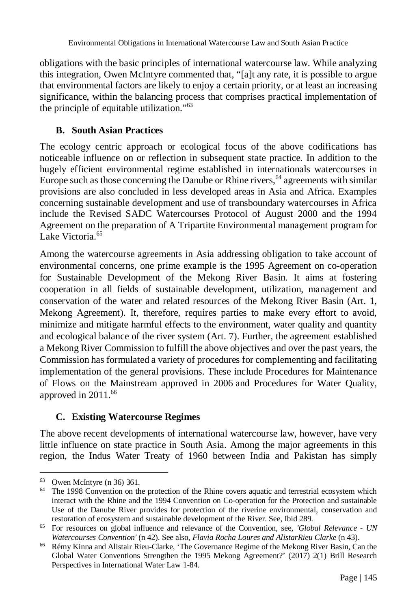obligations with the basic principles of international watercourse law. While analyzing this integration, Owen McIntyre commented that, "[a]t any rate, it is possible to argue that environmental factors are likely to enjoy a certain priority, or at least an increasing significance, within the balancing process that comprises practical implementation of the principle of equitable utilization."<sup>63</sup>

# **B. South Asian Practices**

The ecology centric approach or ecological focus of the above codifications has noticeable influence on or reflection in subsequent state practice. In addition to the hugely efficient environmental regime established in internationals watercourses in Europe such as those concerning the Danube or Rhine rivers,  $64$  agreements with similar provisions are also concluded in less developed areas in Asia and Africa. Examples concerning sustainable development and use of transboundary watercourses in Africa include the Revised SADC Watercourses Protocol of August 2000 and the 1994 Agreement on the preparation of A Tripartite Environmental management program for Lake Victoria.<sup>65</sup>

Among the watercourse agreements in Asia addressing obligation to take account of environmental concerns, one prime example is the 1995 Agreement on co-operation for Sustainable Development of the Mekong River Basin. It aims at fostering cooperation in all fields of sustainable development, utilization, management and conservation of the water and related resources of the Mekong River Basin (Art. 1, Mekong Agreement). It, therefore, requires parties to make every effort to avoid, minimize and mitigate harmful effects to the environment, water quality and quantity and ecological balance of the river system (Art. 7). Further, the agreement established a Mekong River Commission to fulfill the above objectives and over the past years, the Commission has formulated a variety of procedures for complementing and facilitating implementation of the general provisions. These include Procedures for Maintenance of Flows on the Mainstream approved in 2006 and Procedures for Water Quality, approved in 2011.<sup>66</sup>

# **C. Existing Watercourse Regimes**

The above recent developments of international watercourse law, however, have very little influence on state practice in South Asia. Among the major agreements in this region, the Indus Water Treaty of 1960 between India and Pakistan has simply

 $\overline{a}$ <sup>63</sup> Owen McIntyre (n 36) 361.

<sup>&</sup>lt;sup>64</sup> The 1998 Convention on the protection of the Rhine covers aquatic and terrestrial ecosystem which interact with the Rhine and the 1994 Convention on Co-operation for the Protection and sustainable Use of the Danube River provides for protection of the riverine environmental, conservation and restoration of ecosystem and sustainable development of the River. See, Ibid 289.

<sup>65</sup> For resources on global influence and relevance of the Convention, see, *'Global Relevance - UN Watercourses Convention'* (n 42). See also, *Flavia Rocha Loures and AlistarRieu Clarke* (n 43).

<sup>66</sup> Rémy Kinna and Alistair Rieu-Clarke, 'The Governance Regime of the Mekong River Basin, Can the Global Water Conventions Strengthen the 1995 Mekong Agreement?' (2017) 2(1) Brill Research Perspectives in International Water Law 1-84.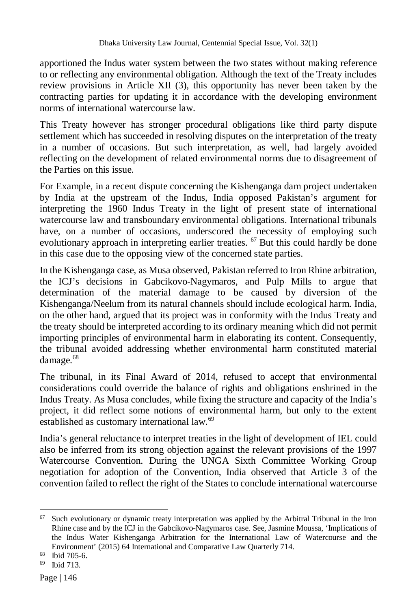apportioned the Indus water system between the two states without making reference to or reflecting any environmental obligation. Although the text of the Treaty includes review provisions in Article XII (3), this opportunity has never been taken by the contracting parties for updating it in accordance with the developing environment norms of international watercourse law.

This Treaty however has stronger procedural obligations like third party dispute settlement which has succeeded in resolving disputes on the interpretation of the treaty in a number of occasions. But such interpretation, as well, had largely avoided reflecting on the development of related environmental norms due to disagreement of the Parties on this issue.

For Example, in a recent dispute concerning the Kishenganga dam project undertaken by India at the upstream of the Indus, India opposed Pakistan's argument for interpreting the 1960 Indus Treaty in the light of present state of international watercourse law and transboundary environmental obligations. International tribunals have, on a number of occasions, underscored the necessity of employing such evolutionary approach in interpreting earlier treaties. <sup>67</sup> But this could hardly be done in this case due to the opposing view of the concerned state parties.

In the Kishenganga case, as Musa observed, Pakistan referred to Iron Rhine arbitration, the ICJ's decisions in Gabcikovo-Nagymaros, and Pulp Mills to argue that determination of the material damage to be caused by diversion of the Kishenganga/Neelum from its natural channels should include ecological harm. India, on the other hand, argued that its project was in conformity with the Indus Treaty and the treaty should be interpreted according to its ordinary meaning which did not permit importing principles of environmental harm in elaborating its content. Consequently, the tribunal avoided addressing whether environmental harm constituted material damage.<sup>68</sup>

The tribunal, in its Final Award of 2014, refused to accept that environmental considerations could override the balance of rights and obligations enshrined in the Indus Treaty. As Musa concludes, while fixing the structure and capacity of the India's project, it did reflect some notions of environmental harm, but only to the extent established as customary international law.<sup>69</sup>

India's general reluctance to interpret treaties in the light of development of IEL could also be inferred from its strong objection against the relevant provisions of the 1997 Watercourse Convention. During the UNGA Sixth Committee Working Group negotiation for adoption of the Convention, India observed that Article 3 of the convention failed to reflect the right of the States to conclude international watercourse

 $\overline{a}$  $67$  Such evolutionary or dynamic treaty interpretation was applied by the Arbitral Tribunal in the Iron Rhine case and by the ICJ in the Gabcíkovo-Nagymaros case. See, Jasmine Moussa, 'Implications of the Indus Water Kishenganga Arbitration for the International Law of Watercourse and the Environment' (2015) 64 International and Comparative Law Quarterly 714.

<sup>68</sup> Ibid 705-6.

<sup>69</sup> Ibid 713.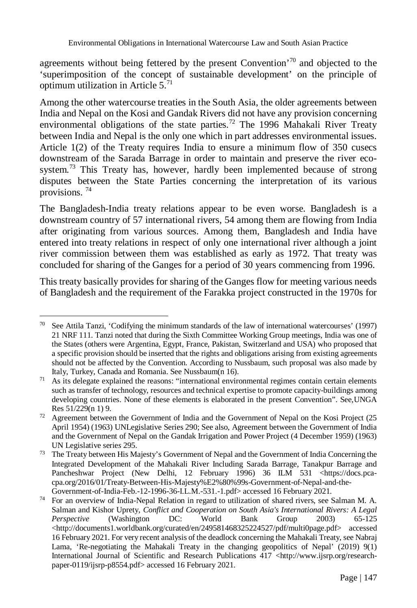agreements without being fettered by the present Convention<sup> $70$ </sup> and objected to the 'superimposition of the concept of sustainable development' on the principle of optimum utilization in Article  $5.71$ 

Among the other watercourse treaties in the South Asia, the older agreements between India and Nepal on the Kosi and Gandak Rivers did not have any provision concerning environmental obligations of the state parties.<sup>72</sup> The 1996 Mahakali River Treaty between India and Nepal is the only one which in part addresses environmental issues. Article 1(2) of the Treaty requires India to ensure a minimum flow of 350 cusecs downstream of the Sarada Barrage in order to maintain and preserve the river ecosystem.<sup>73</sup> This Treaty has, however, hardly been implemented because of strong disputes between the State Parties concerning the interpretation of its various provisions. <sup>74</sup>

The Bangladesh-India treaty relations appear to be even worse. Bangladesh is a downstream country of 57 international rivers, 54 among them are flowing from India after originating from various sources. Among them, Bangladesh and India have entered into treaty relations in respect of only one international river although a joint river commission between them was established as early as 1972. That treaty was concluded for sharing of the Ganges for a period of 30 years commencing from 1996.

This treaty basically provides for sharing of the Ganges flow for meeting various needs of Bangladesh and the requirement of the Farakka project constructed in the 1970s for

 $\overline{a}$  $70$  See Attila Tanzi, 'Codifying the minimum standards of the law of international watercourses' (1997) 21 NRF 111. Tanzi noted that during the Sixth Committee Working Group meetings, India was one of the States (others were Argentina, Egypt, France, Pakistan, Switzerland and USA) who proposed that a specific provision should be inserted that the rights and obligations arising from existing agreements should not be affected by the Convention. According to Nussbaum, such proposal was also made by Italy, Turkey, Canada and Romania. See Nussbaum(n 16).

 $71$  As its delegate explained the reasons: "international environmental regimes contain certain elements such as transfer of technology, resources and technical expertise to promote capacity-buildings among developing countries. None of these elements is elaborated in the present Convention". See,UNGA Res 51/229(n 1) 9.

 $72$  Agreement between the Government of India and the Government of Nepal on the Kosi Project (25 April 1954) (1963) UNLegislative Series 290; See also, Agreement between the Government of India and the Government of Nepal on the Gandak Irrigation and Power Project (4 December 1959) (1963) UN Legislative serie*s* 295.

 $73$  The Treaty between His Majesty's Government of Nepal and the Government of India Concerning the Integrated Development of the Mahakali River Including Sarada Barrage, Tanakpur Barrage and Pancheshwar Project (New Delhi, 12 February 1996) 36 ILM 531 <https://docs.pcacpa.org/2016/01/Treaty-Between-His-Majesty%E2%80%99s-Government-of-Nepal-and-the-Government-of-India-Feb.-12-1996-36-I.L.M.-531.-1.pdf> accessed 16 February 2021.

<sup>74</sup> For an overview of India-Nepal Relation in regard to utilization of shared rivers, see Salman M. A. Salman and Kishor Uprety, *Conflict and Cooperation on South Asia's International Rivers: A Legal Perspective* (Washington DC: World Bank Group 2003) 65-125 <http://documents1.worldbank.org/curated/en/249581468325224527/pdf/multi0page.pdf> accessed 16 February 2021. For very recent analysis of the deadlock concerning the Mahakali Treaty, see Nabraj Lama, 'Re-negotiating the Mahakali Treaty in the changing geopolitics of Nepal' (2019) 9(1) International Journal of Scientific and Research Publications 417 <http://www.ijsrp.org/researchpaper-0119/ijsrp-p8554.pdf> accessed 16 February 2021.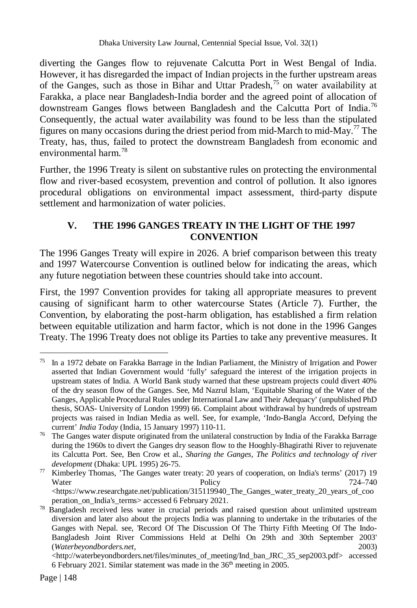diverting the Ganges flow to rejuvenate Calcutta Port in West Bengal of India. However, it has disregarded the impact of Indian projects in the further upstream areas of the Ganges, such as those in Bihar and Uttar Pradesh,<sup>75</sup> on water availability at Farakka, a place near Bangladesh-India border and the agreed point of allocation of downstream Ganges flows between Bangladesh and the Calcutta Port of India.<sup>76</sup> Consequently, the actual water availability was found to be less than the stipulated figures on many occasions during the driest period from mid-March to mid-May.<sup>77</sup> The Treaty, has, thus, failed to protect the downstream Bangladesh from economic and environmental harm.<sup>78</sup>

Further, the 1996 Treaty is silent on substantive rules on protecting the environmental flow and river-based ecosystem, prevention and control of pollution. It also ignores procedural obligations on environmental impact assessment, third-party dispute settlement and harmonization of water policies.

## **V. THE 1996 GANGES TREATY IN THE LIGHT OF THE 1997 CONVENTION**

The 1996 Ganges Treaty will expire in 2026. A brief comparison between this treaty and 1997 Watercourse Convention is outlined below for indicating the areas, which any future negotiation between these countries should take into account.

First, the 1997 Convention provides for taking all appropriate measures to prevent causing of significant harm to other watercourse States (Article 7). Further, the Convention, by elaborating the post-harm obligation, has established a firm relation between equitable utilization and harm factor, which is not done in the 1996 Ganges Treaty. The 1996 Treaty does not oblige its Parties to take any preventive measures. It

 $\overline{a}$ <sup>75</sup> In a 1972 debate on Farakka Barrage in the Indian Parliament, the Ministry of Irrigation and Power asserted that Indian Government would 'fully' safeguard the interest of the irrigation projects in upstream states of India. A World Bank study warned that these upstream projects could divert 40% of the dry season flow of the Ganges. See, Md Nazrul Islam, 'Equitable Sharing of the Water of the Ganges, Applicable Procedural Rules under International Law and Their Adequacy' (unpublished PhD thesis, SOAS- University of London 1999) 66. Complaint about withdrawal by hundreds of upstream projects was raised in Indian Media as well. See, for example, 'Indo-Bangla Accord, Defying the current' *India Today* (India, 15 January 1997) 110-11.

<sup>&</sup>lt;sup>76</sup> The Ganges water dispute originated from the unilateral construction by India of the Farakka Barrage during the 1960s to divert the Ganges dry season flow to the Hooghly-Bhagirathi River to rejuvenate its Calcutta Port. See, Ben Crow et al., *Sharing the Ganges, The Politics and technology of river development* (Dhaka: UPL 1995) 26-75.

<sup>&</sup>lt;sup>77</sup> Kimberley Thomas, 'The Ganges water treaty: 20 years of cooperation, on India's terms' (2017) 19 Water **Policy** Policy 724–740  $\langle$ https://www.researchgate.net/publication/315119940\_The\_Ganges\_water\_treaty\_20\_years\_of\_coo

peration\_on\_India's\_terms> accessed 6 February 2021. <sup>78</sup> Bangladesh received less water in crucial periods and raised question about unlimited upstream diversion and later also about the projects India was planning to undertake in the tributaries of the Ganges with Nepal. see, 'Record Of The Discussion Of The Thirty Fifth Meeting Of The Indo-Bangladesh Joint River Commissions Held at Delhi On 29th and 30th September 2003' (*Waterbeyondborders.net*, 2003)

<sup>&</sup>lt;http://waterbeyondborders.net/files/minutes\_of\_meeting/Ind\_ban\_JRC\_35\_sep2003.pdf> accessed 6 February 2021. Similar statement was made in the 36<sup>th</sup> meeting in 2005.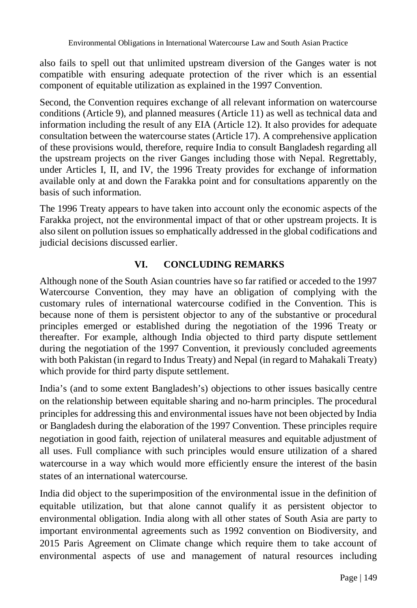also fails to spell out that unlimited upstream diversion of the Ganges water is not compatible with ensuring adequate protection of the river which is an essential component of equitable utilization as explained in the 1997 Convention.

Second, the Convention requires exchange of all relevant information on watercourse conditions (Article 9), and planned measures (Article 11) as well as technical data and information including the result of any EIA (Article 12). It also provides for adequate consultation between the watercourse states (Article 17). A comprehensive application of these provisions would, therefore, require India to consult Bangladesh regarding all the upstream projects on the river Ganges including those with Nepal. Regrettably, under Articles I, II, and IV, the 1996 Treaty provides for exchange of information available only at and down the Farakka point and for consultations apparently on the basis of such information.

The 1996 Treaty appears to have taken into account only the economic aspects of the Farakka project, not the environmental impact of that or other upstream projects. It is also silent on pollution issues so emphatically addressed in the global codifications and judicial decisions discussed earlier.

## **VI. CONCLUDING REMARKS**

Although none of the South Asian countries have so far ratified or acceded to the 1997 Watercourse Convention, they may have an obligation of complying with the customary rules of international watercourse codified in the Convention. This is because none of them is persistent objector to any of the substantive or procedural principles emerged or established during the negotiation of the 1996 Treaty or thereafter. For example, although India objected to third party dispute settlement during the negotiation of the 1997 Convention, it previously concluded agreements with both Pakistan (in regard to Indus Treaty) and Nepal (in regard to Mahakali Treaty) which provide for third party dispute settlement.

India's (and to some extent Bangladesh's) objections to other issues basically centre on the relationship between equitable sharing and no-harm principles. The procedural principles for addressing this and environmental issues have not been objected by India or Bangladesh during the elaboration of the 1997 Convention. These principles require negotiation in good faith, rejection of unilateral measures and equitable adjustment of all uses. Full compliance with such principles would ensure utilization of a shared watercourse in a way which would more efficiently ensure the interest of the basin states of an international watercourse.

India did object to the superimposition of the environmental issue in the definition of equitable utilization, but that alone cannot qualify it as persistent objector to environmental obligation. India along with all other states of South Asia are party to important environmental agreements such as 1992 convention on Biodiversity, and 2015 Paris Agreement on Climate change which require them to take account of environmental aspects of use and management of natural resources including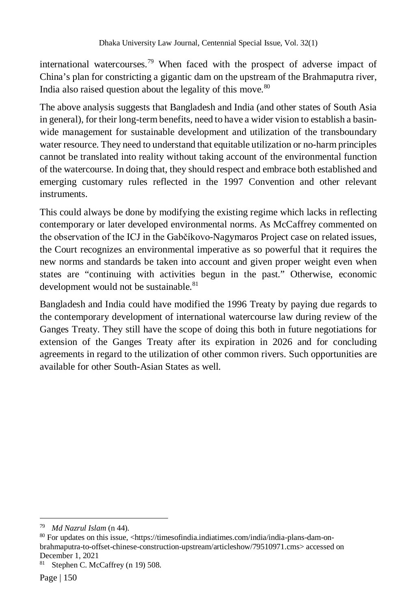international watercourses.<sup>79</sup> When faced with the prospect of adverse impact of China's plan for constricting a gigantic dam on the upstream of the Brahmaputra river, India also raised question about the legality of this move. $80$ 

The above analysis suggests that Bangladesh and India (and other states of South Asia in general), for their long-term benefits, need to have a wider vision to establish a basinwide management for sustainable development and utilization of the transboundary water resource. They need to understand that equitable utilization or no-harm principles cannot be translated into reality without taking account of the environmental function of the watercourse. In doing that, they should respect and embrace both established and emerging customary rules reflected in the 1997 Convention and other relevant instruments.

This could always be done by modifying the existing regime which lacks in reflecting contemporary or later developed environmental norms. As McCaffrey commented on the observation of the ICJ in the Gabčíkovo-Nagymaros Project case on related issues, the Court recognizes an environmental imperative as so powerful that it requires the new norms and standards be taken into account and given proper weight even when states are "continuing with activities begun in the past." Otherwise, economic development would not be sustainable.<sup>81</sup>

Bangladesh and India could have modified the 1996 Treaty by paying due regards to the contemporary development of international watercourse law during review of the Ganges Treaty. They still have the scope of doing this both in future negotiations for extension of the Ganges Treaty after its expiration in 2026 and for concluding agreements in regard to the utilization of other common rivers. Such opportunities are available for other South-Asian States as well.

 $\overline{a}$ <sup>79</sup> *Md Nazrul Islam* (n 44).

<sup>80</sup> For updates on this issue, <https://timesofindia.indiatimes.com/india/india-plans-dam-onbrahmaputra-to-offset-chinese-construction-upstream/articleshow/79510971.cms> accessed on December 1, 2021

Stephen C. McCaffrey (n 19) 508.